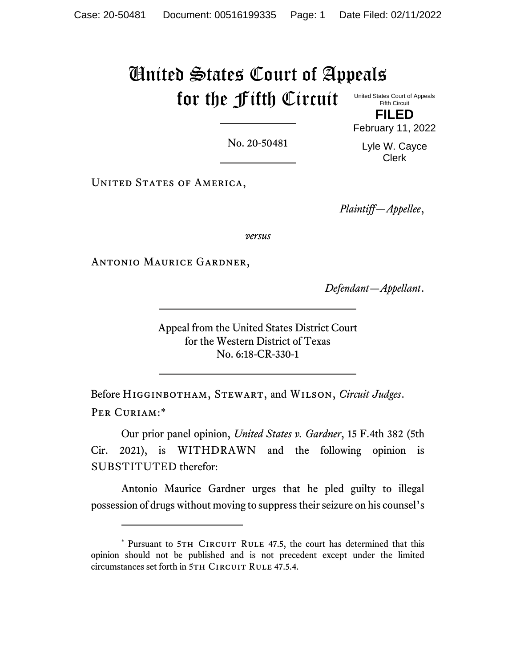## United States Court of Appeals for the Fifth Circuit United States Court of Appeals Fifth Circuit

No. 20-50481

February 11, 2022 Lyle W. Cayce

Clerk

**FILED**

UNITED STATES OF AMERICA,

*Plaintiff—Appellee*,

*versus*

Antonio Maurice Gardner,

*Defendant—Appellant*.

Appeal from the United States District Court for the Western District of Texas No. 6:18-CR-330-1

Before Higginbotham, Stewart, and Wilson, *Circuit Judges*. PER CURIAM:\*

Our prior panel opinion, *United States v. Gardner*, 15 F.4th 382 (5th Cir. 2021), is WITHDRAWN and the following opinion is SUBSTITUTED therefor:

Antonio Maurice Gardner urges that he pled guilty to illegal possession of drugs without moving to suppress their seizure on his counsel's

<sup>\*</sup> Pursuant to 5TH CIRCUIT RULE 47.5, the court has determined that this opinion should not be published and is not precedent except under the limited circumstances set forth in 5TH CIRCUIT RULE 47.5.4.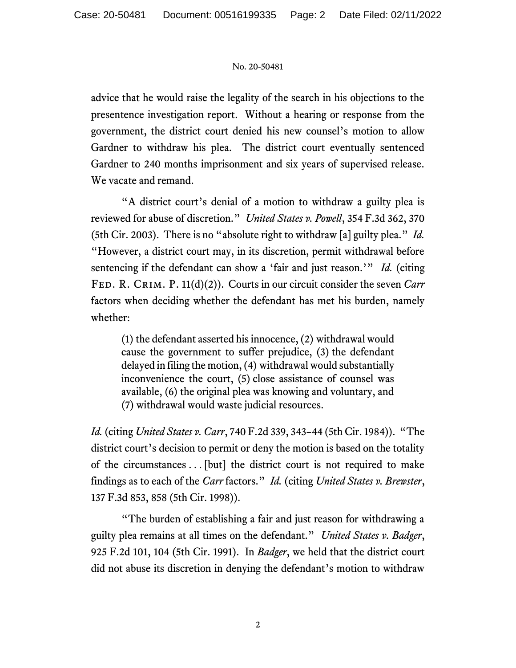## No. 20-50481

advice that he would raise the legality of the search in his objections to the presentence investigation report. Without a hearing or response from the government, the district court denied his new counsel's motion to allow Gardner to withdraw his plea. The district court eventually sentenced Gardner to 240 months imprisonment and six years of supervised release. We vacate and remand.

"A district court's denial of a motion to withdraw a guilty plea is reviewed for abuse of discretion." *United States v. Powell*, 354 F.3d 362, 370 (5th Cir. 2003). There is no "absolute right to withdraw [a] guilty plea." *Id.* "However, a district court may, in its discretion, permit withdrawal before sentencing if the defendant can show a 'fair and just reason.'" *Id.* (citing Fed. R. Crim. P. 11(d)(2)). Courts in our circuit consider the seven *Carr* factors when deciding whether the defendant has met his burden, namely whether:

(1) the defendant asserted his innocence, (2) withdrawal would cause the government to suffer prejudice, (3) the defendant delayed in filing the motion, (4) withdrawal would substantially inconvenience the court, (5) close assistance of counsel was available, (6) the original plea was knowing and voluntary, and (7) withdrawal would waste judicial resources.

*Id.* (citing *United States v. Carr*, 740 F.2d 339, 343–44 (5th Cir. 1984)). "The district court's decision to permit or deny the motion is based on the totality of the circumstances . . . [but] the district court is not required to make findings as to each of the *Carr* factors." *Id.* (citing *United States v. Brewster*, 137 F.3d 853, 858 (5th Cir. 1998)).

"The burden of establishing a fair and just reason for withdrawing a guilty plea remains at all times on the defendant." *United States v. Badger*, 925 F.2d 101, 104 (5th Cir. 1991). In *Badger*, we held that the district court did not abuse its discretion in denying the defendant's motion to withdraw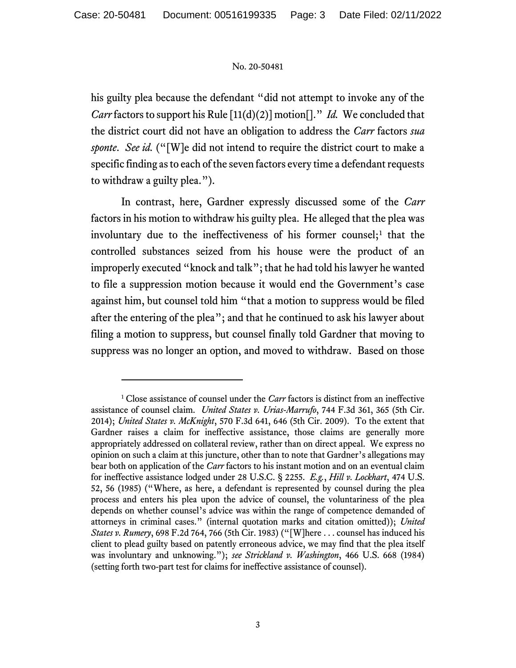### No. 20-50481

his guilty plea because the defendant "did not attempt to invoke any of the *Carr* factors to support his Rule [11(d)(2)] motion[]." *Id.* We concluded that the district court did not have an obligation to address the *Carr* factors *sua sponte*. *See id.* ("[W]e did not intend to require the district court to make a specific finding as to each of the seven factors every time a defendant requests to withdraw a guilty plea.").

In contrast, here, Gardner expressly discussed some of the *Carr* factors in his motion to withdraw his guilty plea. He alleged that the plea was involuntary due to the ineffectiveness of his former counsel;<sup>1</sup> that the controlled substances seized from his house were the product of an improperly executed "knock and talk"; that he had told his lawyer he wanted to file a suppression motion because it would end the Government's case against him, but counsel told him "that a motion to suppress would be filed after the entering of the plea"; and that he continued to ask his lawyer about filing a motion to suppress, but counsel finally told Gardner that moving to suppress was no longer an option, and moved to withdraw. Based on those

<sup>&</sup>lt;sup>1</sup> Close assistance of counsel under the *Carr* factors is distinct from an ineffective assistance of counsel claim. *United States v. Urias-Marrufo*, 744 F.3d 361, 365 (5th Cir. 2014); *United States v. McKnight*, 570 F.3d 641, 646 (5th Cir. 2009). To the extent that Gardner raises a claim for ineffective assistance, those claims are generally more appropriately addressed on collateral review, rather than on direct appeal. We express no opinion on such a claim at this juncture, other than to note that Gardner's allegations may bear both on application of the *Carr* factors to his instant motion and on an eventual claim for ineffective assistance lodged under 28 U.S.C. § 2255. *E.g.*, *Hill v. Lockhart*, 474 U.S. 52, 56 (1985) ("Where, as here, a defendant is represented by counsel during the plea process and enters his plea upon the advice of counsel, the voluntariness of the plea depends on whether counsel's advice was within the range of competence demanded of attorneys in criminal cases." (internal quotation marks and citation omitted)); *United States v. Rumery*, 698 F.2d 764, 766 (5th Cir. 1983) ("[W]here . . . counsel has induced his client to plead guilty based on patently erroneous advice, we may find that the plea itself was involuntary and unknowing."); *see Strickland v. Washington*, 466 U.S. 668 (1984) (setting forth two-part test for claims for ineffective assistance of counsel).